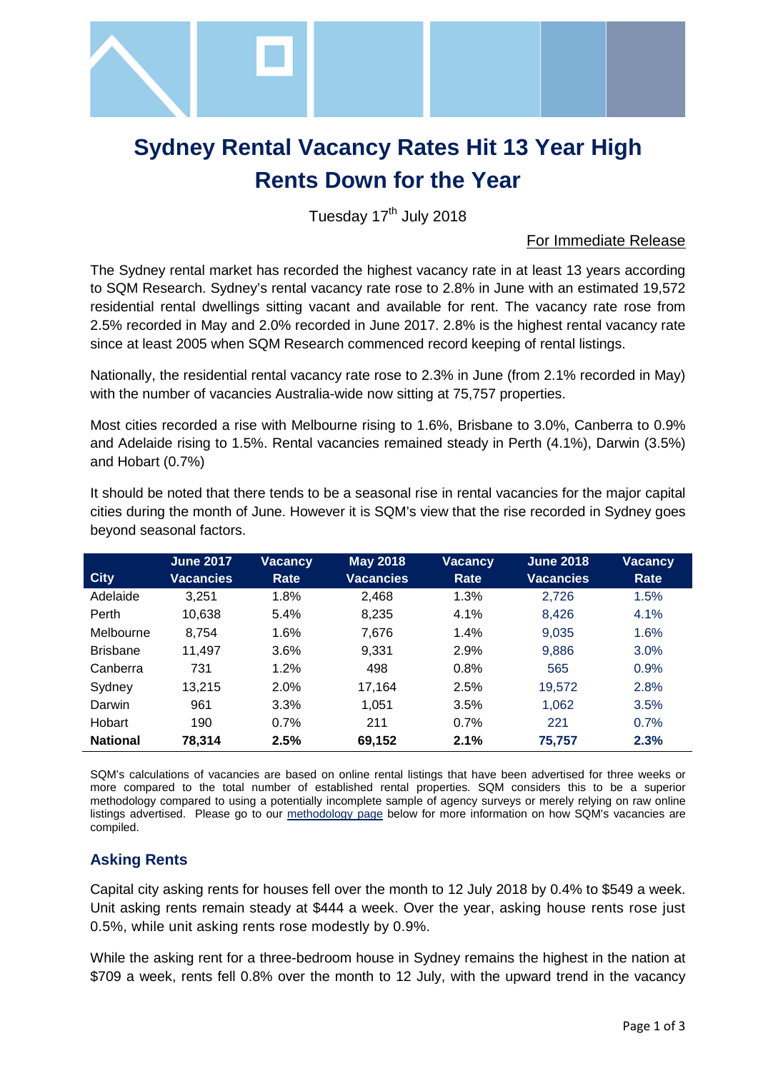

# **Sydney Rental Vacancy Rates Hit 13 Year High Rents Down for the Year**

Tuesday 17<sup>th</sup> July 2018

#### For Immediate Release

The Sydney rental market has recorded the highest vacancy rate in at least 13 years according to SQM Research. Sydney's rental vacancy rate rose to 2.8% in June with an estimated 19,572 residential rental dwellings sitting vacant and available for rent. The vacancy rate rose from 2.5% recorded in May and 2.0% recorded in June 2017. 2.8% is the highest rental vacancy rate since at least 2005 when SQM Research commenced record keeping of rental listings.

Nationally, the residential rental vacancy rate rose to 2.3% in June (from 2.1% recorded in May) with the number of vacancies Australia-wide now sitting at 75,757 properties.

Most cities recorded a rise with Melbourne rising to 1.6%, Brisbane to 3.0%, Canberra to 0.9% and Adelaide rising to 1.5%. Rental vacancies remained steady in Perth (4.1%), Darwin (3.5%) and Hobart (0.7%)

| <b>City</b>     | <b>June 2017</b><br><b>Vacancies</b> | <b>Vacancy</b><br>Rate | <b>May 2018</b><br><b>Vacancies</b> | <b>Vacancy</b><br>Rate | <b>June 2018</b><br><b>Vacancies</b> | Vacancy<br>Rate |
|-----------------|--------------------------------------|------------------------|-------------------------------------|------------------------|--------------------------------------|-----------------|
| Adelaide        | 3,251                                | 1.8%                   | 2,468                               | 1.3%                   | 2,726                                | 1.5%            |
| Perth           | 10,638                               | 5.4%                   | 8,235                               | 4.1%                   | 8,426                                | 4.1%            |
| Melbourne       | 8,754                                | 1.6%                   | 7,676                               | 1.4%                   | 9,035                                | 1.6%            |
| <b>Brisbane</b> | 11,497                               | 3.6%                   | 9,331                               | 2.9%                   | 9,886                                | 3.0%            |
| Canberra        | 731                                  | 1.2%                   | 498                                 | 0.8%                   | 565                                  | 0.9%            |
| Sydney          | 13,215                               | 2.0%                   | 17,164                              | 2.5%                   | 19,572                               | 2.8%            |
| Darwin          | 961                                  | 3.3%                   | 1,051                               | 3.5%                   | 1,062                                | 3.5%            |
| Hobart          | 190                                  | 0.7%                   | 211                                 | 0.7%                   | 221                                  | 0.7%            |
| <b>National</b> | 78,314                               | 2.5%                   | 69,152                              | 2.1%                   | 75,757                               | 2.3%            |

It should be noted that there tends to be a seasonal rise in rental vacancies for the major capital cities during the month of June. However it is SQM's view that the rise recorded in Sydney goes beyond seasonal factors.

SQM's calculations of vacancies are based on online rental listings that have been advertised for three weeks or more compared to the total number of established rental properties. SQM considers this to be a superior methodology compared to using a potentially incomplete sample of agency surveys or merely relying on raw online listings advertised. Please go to our [methodology page](http://www.sqmresearch.com.au/graph_vacancy.php?region=nsw::Sydney&type=c&t=1#terms) below for more information on how SQM's vacancies are compiled.

## **Asking Rents**

Capital city asking rents for houses fell over the month to 12 July 2018 by 0.4% to \$549 a week. Unit asking rents remain steady at \$444 a week. Over the year, asking house rents rose just 0.5%, while unit asking rents rose modestly by 0.9%.

While the asking rent for a three-bedroom house in Sydney remains the highest in the nation at \$709 a week, rents fell 0.8% over the month to 12 July, with the upward trend in the vacancy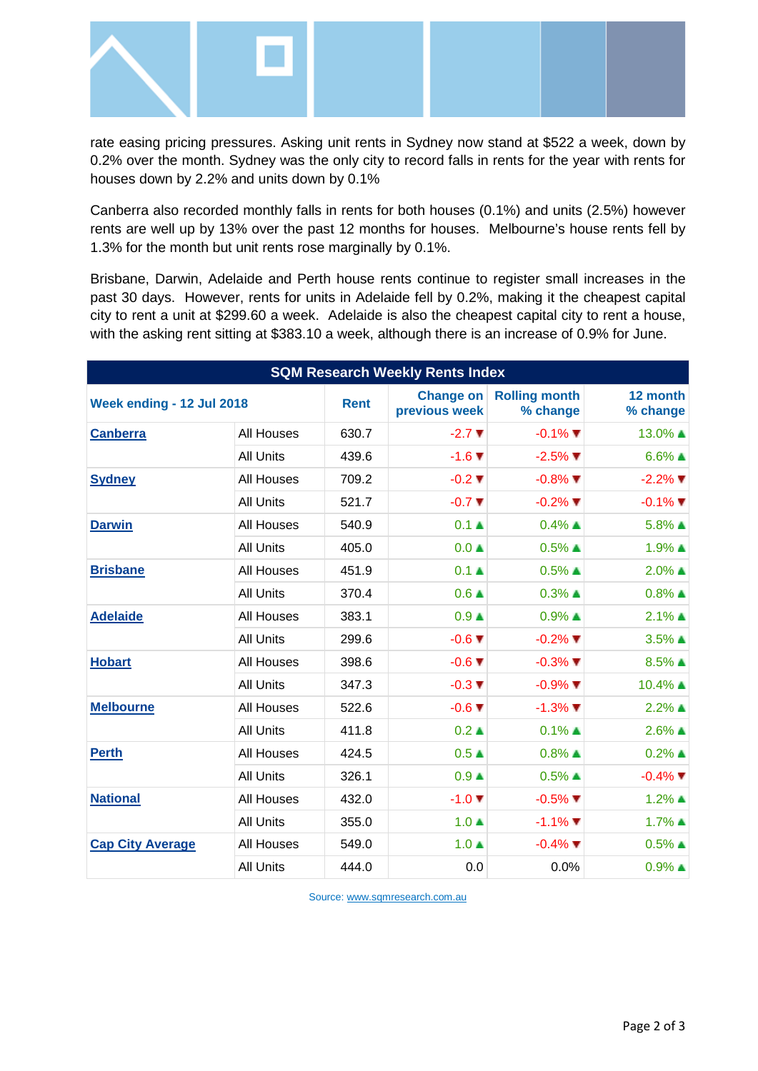

rate easing pricing pressures. Asking unit rents in Sydney now stand at \$522 a week, down by 0.2% over the month. Sydney was the only city to record falls in rents for the year with rents for houses down by 2.2% and units down by 0.1%

Canberra also recorded monthly falls in rents for both houses (0.1%) and units (2.5%) however rents are well up by 13% over the past 12 months for houses. Melbourne's house rents fell by 1.3% for the month but unit rents rose marginally by 0.1%.

Brisbane, Darwin, Adelaide and Perth house rents continue to register small increases in the past 30 days. However, rents for units in Adelaide fell by 0.2%, making it the cheapest capital city to rent a unit at \$299.60 a week. Adelaide is also the cheapest capital city to rent a house, with the asking rent sitting at \$383.10 a week, although there is an increase of 0.9% for June.

| <b>SQM Research Weekly Rents Index</b> |                   |                                   |                                  |                          |                          |  |  |  |  |
|----------------------------------------|-------------------|-----------------------------------|----------------------------------|--------------------------|--------------------------|--|--|--|--|
| Week ending - 12 Jul 2018              | <b>Rent</b>       | <b>Change on</b><br>previous week | <b>Rolling month</b><br>% change | 12 month<br>% change     |                          |  |  |  |  |
| <b>Canberra</b>                        | <b>All Houses</b> | 630.7                             | $-2.7$ $\blacktriangledown$      | $-0.1\%$ $\blacksquare$  | 13.0% ▲                  |  |  |  |  |
|                                        | <b>All Units</b>  | 439.6                             | $-1.6$ $\blacktriangledown$      | $-2.5\%$ $\blacksquare$  | $6.6\%$ $\blacktriangle$ |  |  |  |  |
| <b>Sydney</b>                          | <b>All Houses</b> | 709.2                             | $-0.2$ $\blacktriangledown$      | $-0.8\%$ $\P$            | $-2.2\%$ $\blacksquare$  |  |  |  |  |
|                                        | <b>All Units</b>  | 521.7                             | $-0.7$ $\blacktriangledown$      | $-0.2\%$ $\blacksquare$  | $-0.1\%$ $\blacksquare$  |  |  |  |  |
| <b>Darwin</b>                          | <b>All Houses</b> | 540.9                             | 0.1A                             | $0.4\%$ $\triangle$      | $5.8\%$ $\triangle$      |  |  |  |  |
|                                        | <b>All Units</b>  | 405.0                             | $0.0 \triangle$                  | $0.5\%$ $\blacktriangle$ | $1.9\%$ $\blacktriangle$ |  |  |  |  |
| <b>Brisbane</b>                        | <b>All Houses</b> | 451.9                             | 0.1A                             | $0.5\%$ $\blacktriangle$ | $2.0\%$ $\blacktriangle$ |  |  |  |  |
|                                        | <b>All Units</b>  | 370.4                             | $0.6 \triangle$                  | $0.3\%$ $\blacktriangle$ | $0.8\%$ $\blacktriangle$ |  |  |  |  |
| <b>Adelaide</b>                        | <b>All Houses</b> | 383.1                             | 0.9 <sub>A</sub>                 | $0.9\%$ $\blacktriangle$ | $2.1\%$ ▲                |  |  |  |  |
|                                        | <b>All Units</b>  | 299.6                             | $-0.6$ $\blacktriangledown$      | $-0.2\%$ $\blacksquare$  | $3.5\%$ $\blacktriangle$ |  |  |  |  |
| <b>Hobart</b>                          | <b>All Houses</b> | 398.6                             | $-0.6$ $\blacktriangledown$      | $-0.3\%$ $\blacksquare$  | $8.5\%$ $\blacktriangle$ |  |  |  |  |
|                                        | <b>All Units</b>  | 347.3                             | $-0.3$ $\blacktriangledown$      | $-0.9\%$ $\blacksquare$  | $10.4\%$ $\triangle$     |  |  |  |  |
| <b>Melbourne</b>                       | All Houses        | 522.6                             | $-0.6$ $\blacktriangledown$      | $-1.3\%$ $\blacksquare$  | $2.2\%$ $\triangle$      |  |  |  |  |
|                                        | <b>All Units</b>  | 411.8                             | $0.2 \triangle$                  | $0.1\%$ $\blacktriangle$ | $2.6\%$ ▲                |  |  |  |  |
| <b>Perth</b>                           | <b>All Houses</b> | 424.5                             | 0.5 <sub>A</sub>                 | $0.8\%$ $\blacktriangle$ | $0.2\%$ $\blacktriangle$ |  |  |  |  |
|                                        | <b>All Units</b>  | 326.1                             | 0.9 <sub>•</sub>                 | $0.5\%$ $\blacktriangle$ | $-0.4\%$ $\blacksquare$  |  |  |  |  |
| <b>National</b>                        | <b>All Houses</b> | 432.0                             | $-1.0$ $\blacktriangledown$      | $-0.5\%$ $\P$            | $1.2\%$ $\blacktriangle$ |  |  |  |  |
|                                        | <b>All Units</b>  | 355.0                             | $1.0 \triangle$                  | $-1.1\%$                 | $1.7\%$ ▲                |  |  |  |  |
| <b>Cap City Average</b>                | All Houses        | 549.0                             | $1.0 \triangle$                  | $-0.4\%$ $\blacksquare$  | $0.5\%$ $\blacktriangle$ |  |  |  |  |
|                                        | <b>All Units</b>  | 444.0                             | 0.0                              | 0.0%                     | $0.9\%$ $\blacktriangle$ |  |  |  |  |

Source[: www.sqmresearch.com.au](http://www.sqmresearch.com.au/)